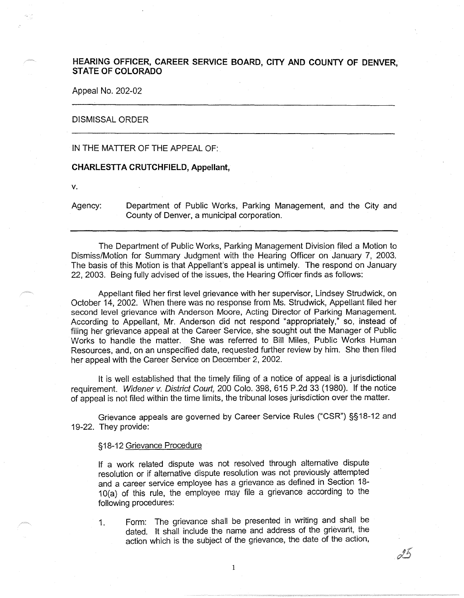# **HEARING OFFICER, CAREER SERVICE BOARD, CITY AND COUNTY OF DENVER, STATE OF COLORADO**

Appeal No. 202-02

## DISMISSAL ORDER

## IN THE MATTER OF THE APPEAL OF:

#### **CHARLESTT A CRUTCHFIELD, Appellant,**

**V.** 

Agency: Department of Public Works, Parking Management, and the City and County of Denver, a municipal corporation.

The Department of Public Works, Parking Management Division filed a Motion to Dismiss/Motion for Summary Judgment with the Hearing Officer on January 7, 2003. The basis of this Motion is that Appellant's appeal is untimely. The respond on January 22, 2003. Being fully advised of the issues, the Hearing Officer finds as follows:

Appellant filed her first level grievance with her supervisor, Lindsey Strudwick, on October 14, 2002. When there was no response from Ms. Strudwick, Appellant filed her second level grievance with Anderson Moore, Acting Director of Parking Management. According to Appellant, Mr. Anderson did not respond "appropriately," so, instead of filing her grievance appeal at the Career Service, she sought out the Manager of Public Works to handle the matter. She was referred to Bill Miles, Public Works Human Resources, and, on an unspecified date, requested further review by him. She then filed her appeal with the Career Service on December 2, 2002.

It is well established that the timely filing of a notice of appeal is a jurisdictional requirement. Widener v. District Court, 200 Colo. 398, 615 P.2d 33 (1980). If the notice of appeal is not filed within the time limits, the tribunal loses jurisdiction over the matter.

Grievance appeals are governed by Career Service Rules ("CSR") §§ 18-12 and 19-22. They provide:

### §18-12 Grievance Procedure

If a work related dispute was not resolved through alternative dispute resolution or if alternative dispute resolution was not previously attempted and a career service employee has a grievance as defined in Section 18- 10(a) of this rule, the employee may file a grievance according to the following procedures:

1. Form: The grievance shall be presented in writing and shall be dated. It shall include the name and address of the grievarit, the action which is the subject of the grievance, the date of the action,

 $\mathbf{1}$ 

 $d\tilde{5}$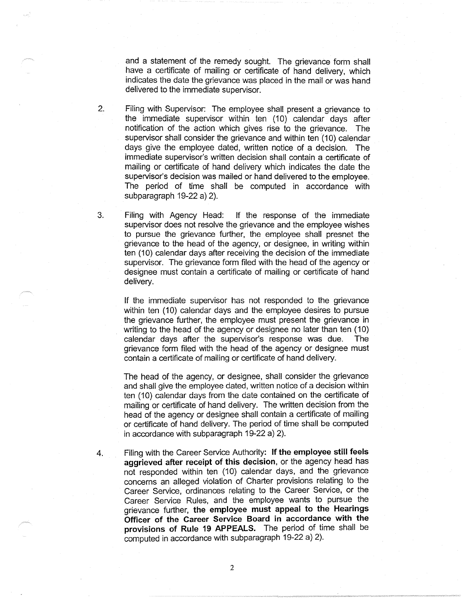and a statement of the remedy sought. The grievance form shall have a certificate of mailing or certificate of hand delivery, which indicates the date the grievance was placed in the mail or was hand delivered to the immediate supervisor.

- 2. Filing with Supervisor: The employee shall present a grievance to the immediate supervisor within ten (10) calendar days after notification of the action which gives rise to the grievance. The supervisor shall consider the grievance and within ten (10) calendar days give the employee dated, written notice of a decision. The immediate supervisor's written decision shall contain a certificate of mailing or certificate of hand delivery which indicates the date the supervisor's decision was mailed or hand delivered to the employee. The period of time shall be computed in accordance with subparagraph 19-22 a) 2).
- 3. Filing with Agency Head: If the response of the immediate supervisor does not resolve the grievance and the employee wishes to pursue the grievance further, the employee shall presnet the grievance to the head of the agency, or designee, in writing within ten (10) calendar days after receiving the decision of the immediate supervisor. The grievance form filed with the head of the agency or designee must contain a certificate of mailing or certificate of hand delivery.

If the immediate supervisor has not responded to the grievance within ten (10) calendar days and the employee desires to pursue the grievance further, the employee must present the grievance in writing to the head of the agency or designee no later than ten ( 10) calendar days after the supervisor's response was due. The grievance form filed with the head of the agency or designee must contain a certificate of mailing or certificate of hand delivery.

The head of the agency, or designee, shall consider the grievance and shall give the employee dated, written notice of a decision within ten (10) calendar days from the date contained on the certificate of mailing or certificate of hand delivery. The written decision from the head of the agency or designee shall contain a certificate of mailing or certificate of hand delivery. The period of time shall be computed in accordance with subparagraph 19-22 a) 2).

4. Filing with the Career Service Authority: **If the employee still feels aggrieved after receipt of this decision,** or the agency head has not responded within ten (10) calendar days, and the grievance concerns an alleged violation of Charter provisions relating to the Career Service, ordinances relating to the Career Service, or the Career Service Rules, and the employee wants to pursue the grievance further, **the employee must appeal to the Hearings Officer of the Career Service Board in accordance with the provisions of Rule 19 APPEALS.** The period of time shall be computed in accordance with subparagraph 19-22 a) 2).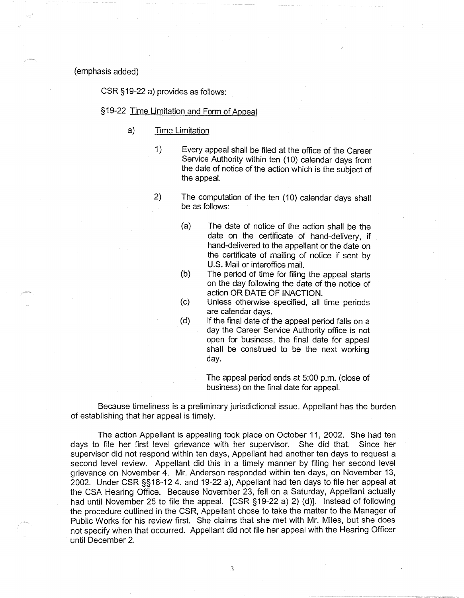(emphasis added)

CSR §19-22 a) provides as follows:

# § 19-22 Time Limitation and Form of Appeal

- a) Time Limitation
	- 1) Every appeal shall be filed at the office of the Career Service Authority within ten (10) calendar days from the date of notice of the action which is the subject of the appeal.
	- 2) The computation of the ten (10) calendar days shall be as follows:
		- (a) The date of notice of the action shall be the date on the certificate of hand-delivery, if hand-delivered to the appellant or the date on the certificate of mailing of notice if sent by U.S. Mail or interoffice mail.
		- (b) The period of time for filing the appeal starts on the day following the date of the notice of action OR DATE OF INACTION.
		- (c) Unless otherwise specified, all time periods are calendar days.
		- (d) If the final date of the appeal period falls on a day the Career Service Authority office is not open for business, the final date for appeal shall be construed to be the next working day.

The appeal period ends at 5:00 p.m. (close of business) on the final date for appeal.

Because timeliness is a preliminary jurisdictional issue, Appellant has the burden of establishing that her appeal is timely.

The action Appellant is appealing took place on October 11 , 2002. She had ten days to file her first level grievance with her supervisor. She did that. Since her supervisor did not respond within ten days, Appellant had another ten days to request a second level review. Appellant did this in a timely manner by filing her second level grievance on November 4. Mr. Anderson responded within ten days, on November 13, 2002. Under CSR §§18-12 4. and 19-22 a), Appellant had ten days to file her appeal at the CSA Hearing Office. Because November 23, fell on a Saturday, Appellant actually had until November 25 to file the appeal. [CSR §19-22 a) 2) (d)]. Instead of following the procedure outlined in the CSR, Appellant chose to take the matter to the Manager of Public Works for his review first. She claims that she met with Mr. Miles, but she does not specify when that occurred. Appellant did not file her appeal with the Hearing Officer until December 2.